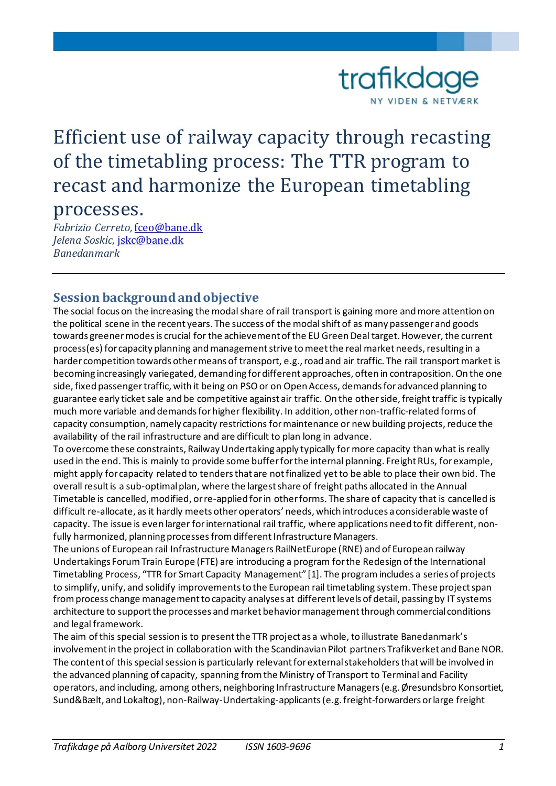

# Efficient use of railway capacity through recasting of the timetabling process: The TTR program to recast and harmonize the European timetabling

# processes.

*Fabrizio Cerreto,* [fceo@bane.dk](mailto:fceo@bane.dk) *Jelena Soskic,* [jskc@bane.dk](mailto:jskc@bane.dk) *Banedanmark*

### **Session background and objective**

The social focus on the increasing the modal share of rail transport is gaining more and more attention on the political scene in the recent years. The success of the modal shift of as many passenger and goods towards greener modes is crucial for the achievement of the EU Green Deal target. However, the current process(es) for capacity planning and management strive to meet the real market needs, resulting in a harder competition towards other means of transport, e.g., road and air traffic. The rail transport market is becoming increasingly variegated, demanding for different approaches, often in contraposition. On the one side, fixed passenger traffic, with it being on PSOor on Open Access, demandsfor advanced planning to guarantee early ticket sale and be competitive against air traffic. On the other side, freight traffic is typically much more variable and demands for higher flexibility. In addition, other non-traffic-related forms of capacity consumption, namely capacity restrictions for maintenance or new building projects, reduce the availability of the rail infrastructure and are difficult to plan long in advance.

To overcome these constraints, Railway Undertaking apply typically for more capacity than what is really used in the end. This is mainly to provide some bufferfor the internal planning. Freight RUs, for example, might apply for capacity related to tenders that are not finalized yetto be able to place their own bid. The overall result is a sub-optimal plan, where the largest share of freight paths allocated in the Annual Timetable is cancelled, modified, or re-applied for in other forms. The share of capacity that is cancelled is difficult re-allocate, as it hardly meets other operators' needs, which introduces a considerable waste of capacity. The issue is even larger for international rail traffic, where applications need to fit different, nonfully harmonized, planning processes from different Infrastructure Managers.

The unions of European rail Infrastructure Managers RailNetEurope (RNE) and of European railway Undertakings Forum Train Europe (FTE) are introducing a program for the Redesign of the International Timetabling Process, "TTR for Smart Capacity Management" [1]. The programincludes a series of projects to simplify, unify, and solidify improvements to the European rail timetabling system. These project span from process change managementto capacity analyses at different levels of detail, passing by IT systems architecture to support the processes and market behavior management through commercial conditions and legal framework.

The aim of this special session is to present the TTR project as a whole, to illustrate Banedanmark's involvement in the project in collaboration with the Scandinavian Pilot partners Trafikverket and Bane NOR. The content of this special session is particularly relevant for external stakeholders that will be involved in the advanced planning of capacity, spanning from the Ministry of Transport to Terminal and Facility operators, and including, among others, neighboring Infrastructure Managers (e.g. Øresundsbro Konsortiet, Sund&Bælt, and Lokaltog), non-Railway-Undertaking-applicants(e.g. freight-forwarders or large freight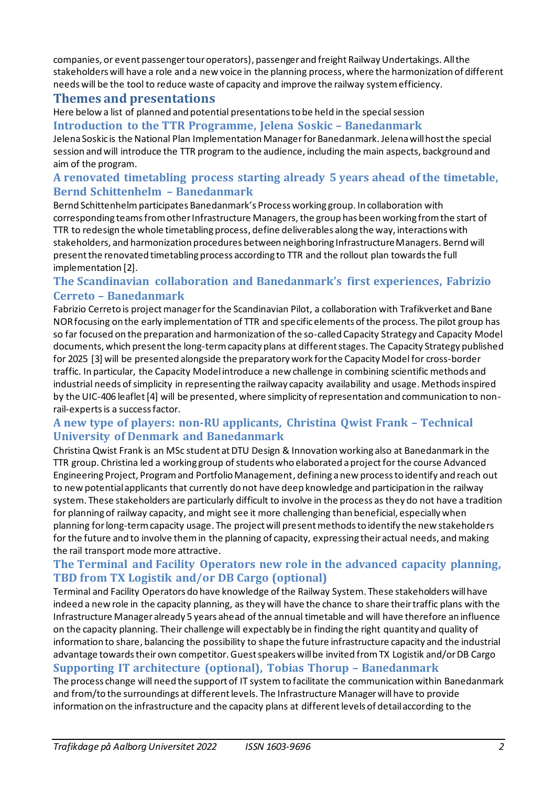companies, or event passenger tour operators), passenger and freight Railway Undertakings. All the stakeholders will have a role and a new voice in the planning process, where the harmonization of different needs will be the tool to reduce waste of capacity and improve the railway system efficiency.

#### **Themes and presentations**

Here below a list of planned and potential presentations to be held in the special session **Introduction to the TTR Programme, Jelena Soskic – Banedanmark**

Jelena Soskic is the National Plan Implementation Managerfor Banedanmark. Jelena will host the special session and will introduce the TTR program to the audience, including the main aspects, background and aim of the program.

#### **A renovated timetabling process starting already 5 years ahead of the timetable, Bernd Schittenhelm – Banedanmark**

Bernd Schittenhelm participates Banedanmark's Process working group. In collaboration with corresponding teams from other Infrastructure Managers, the group has been working from the start of TTR to redesign the whole timetabling process, define deliverables along the way, interactions with stakeholders, and harmonization procedures between neighboring Infrastructure Managers. Bernd will present the renovated timetabling process according to TTR and the rollout plan towards the full implementation [2].

#### **The Scandinavian collaboration and Banedanmark's first experiences, Fabrizio Cerreto – Banedanmark**

Fabrizio Cerreto is project manager for the Scandinavian Pilot, a collaboration with Trafikverket and Bane NOR focusing on the early implementation of TTR and specific elements of the process. The pilot group has so far focused on the preparation and harmonization of the so-called Capacity Strategy and Capacity Model documents, which present the long-term capacity plans at different stages. The Capacity Strategy published for 2025 [3] will be presented alongside the preparatory work for the Capacity Model for cross-border traffic. In particular, the Capacity Modelintroduce a new challenge in combining scientific methods and industrial needs of simplicity in representing the railway capacity availability and usage. Methods inspired by the UIC-406 leaflet [4] will be presented, where simplicity of representation and communication to nonrail-experts is a success factor.

#### **A new type of players: non-RU applicants, Christina Qwist Frank – Technical University of Denmark and Banedanmark**

Christina Qwist Frank is an MSc student at DTU Design & Innovation working also at Banedanmark in the TTR group. Christina led a working group of students who elaborated a project for the course Advanced Engineering Project, Program and Portfolio Management, defining a new process to identify and reach out to new potential applicants that currently do not have deep knowledge and participation in the railway system. These stakeholders are particularly difficult to involve in the process as they do not have a tradition for planning of railway capacity, and might see it more challenging than beneficial, especially when planning for long-term capacity usage. The project will presentmethods to identify the new stakeholders for the future and to involve them in the planning of capacity, expressing their actual needs, and making the rail transport mode more attractive.

#### **The Terminal and Facility Operators new role in the advanced capacity planning, TBD from TX Logistik and/or DB Cargo (optional)**

Terminal and Facility Operators do have knowledge of the Railway System. These stakeholders will have indeed a new role in the capacity planning, as they will have the chance to share their traffic plans with the Infrastructure Manager already 5 years ahead of the annual timetable and will have therefore an influence on the capacity planning. Their challenge will expectably be in finding the right quantity and quality of information to share, balancing the possibility to shape the future infrastructure capacity and the industrial advantage towards their own competitor. Guestspeakers will be invited from TX Logistik and/or DB Cargo

#### **Supporting IT architecture (optional), Tobias Thorup – Banedanmark**

The process change will need the support of IT system to facilitate the communication within Banedanmark and from/to the surroundings at different levels. The Infrastructure Manager will have to provide information on the infrastructure and the capacity plans at different levels of detail according to the